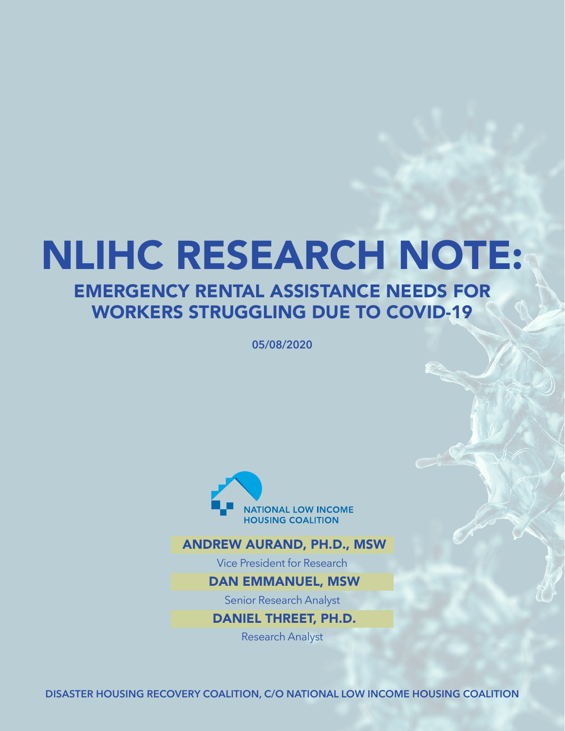# NLIHC RESEARCH NOTE: EMERGENCY RENTAL ASSISTANCE NEEDS FOR

# WORKERS STRUGGLING DUE TO COVID-19

**05/08/2020**



#### [ANDREW AURAND, PH.D., MSW](mailto:aaurand@nlihc.org)

Vice President for Research

#### DAN EMMANUEL, [MSW](mailto:aaurand@nlihc.org)

Senior Research Analyst

[DANIEL THREET, PH.D.](mailto:dthreet%40nlihc.org?subject=)

Research Analyst

DISASTER HOUSING RECOVERY COALITION, C/O NATIONAL LOW INCOME HOUSING COALITION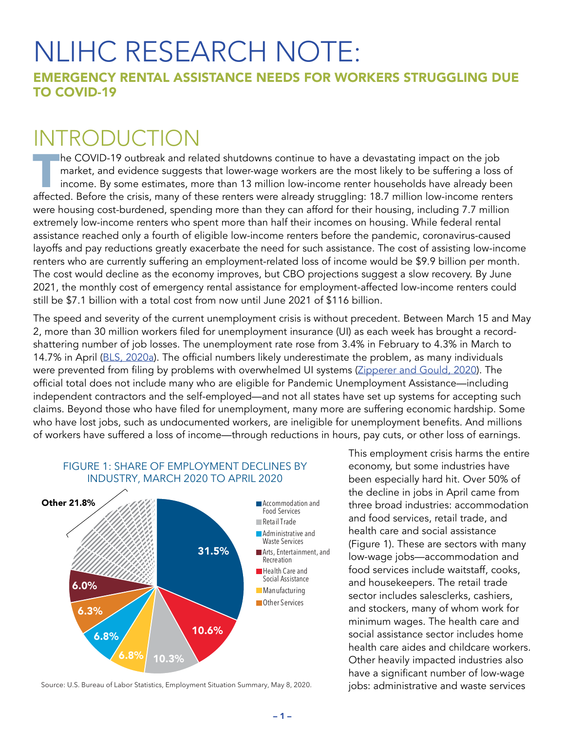# NLIHC RESEARCH NOTE:

EMERGENCY RENTAL ASSISTANCE NEEDS FOR WORKERS STRUGGLING DUE TO COVID-19

# INTRODUCTION

**T**he COVID-19 outbreak and related shutdowns continue to have a devastating impact on the job market, and evidence suggests that lower-wage workers are the most likely to be suffering a loss of income. By some estimates, more than 13 million low-income renter households have already been affected. Before the crisis, many of these renters were already struggling: 18.7 million low-income renters were housing cost-burdened, spending more than they can afford for their housing, including 7.7 million extremely low-income renters who spent more than half their incomes on housing. While federal rental assistance reached only a fourth of eligible low-income renters before the pandemic, coronavirus-caused layoffs and pay reductions greatly exacerbate the need for such assistance. The cost of assisting low-income renters who are currently suffering an employment-related loss of income would be \$9.9 billion per month. The cost would decline as the economy improves, but CBO projections suggest a slow recovery. By June 2021, the monthly cost of emergency rental assistance for employment-affected low-income renters could still be \$7.1 billion with a total cost from now until June 2021 of \$116 billion.

The speed and severity of the current unemployment crisis is without precedent. Between March 15 and May 2, more than 30 million workers filed for unemployment insurance (UI) as each week has brought a recordshattering number of job losses. The unemployment rate rose from 3.4% in February to 4.3% in March to 14.7% in April ([BLS, 2020a](https://www.bls.gov/news.release/empsit.nr0.htm)). The official numbers likely underestimate the problem, as many individuals were prevented from filing by problems with overwhelmed UI systems ([Zipperer and Gould, 2020](https://www.epi.org/blog/unemployment-filing-failures-new-survey-confirms-that-millions-of-jobless-were-unable-to-file-an-unemployment-insurance-claim/)). The official total does not include many who are eligible for Pandemic Unemployment Assistance—including independent contractors and the self-employed—and not all states have set up systems for accepting such claims. Beyond those who have filed for unemployment, many more are suffering economic hardship. Some who have lost jobs, such as undocumented workers, are ineligible for unemployment benefits. And millions of workers have suffered a loss of income—through reductions in hours, pay cuts, or other loss of earnings.



Source: U.S. Bureau of Labor Statistics, Employment Situation Summary, May 8, 2020.

This employment crisis harms the entire economy, but some industries have been especially hard hit. Over 50% of the decline in jobs in April came from three broad industries: accommodation and food services, retail trade, and health care and social assistance (Figure 1). These are sectors with many low-wage jobs—accommodation and food services include waitstaff, cooks, and housekeepers. The retail trade sector includes salesclerks, cashiers, and stockers, many of whom work for minimum wages. The health care and social assistance sector includes home health care aides and childcare workers. Other heavily impacted industries also have a significant number of low-wage jobs: administrative and waste services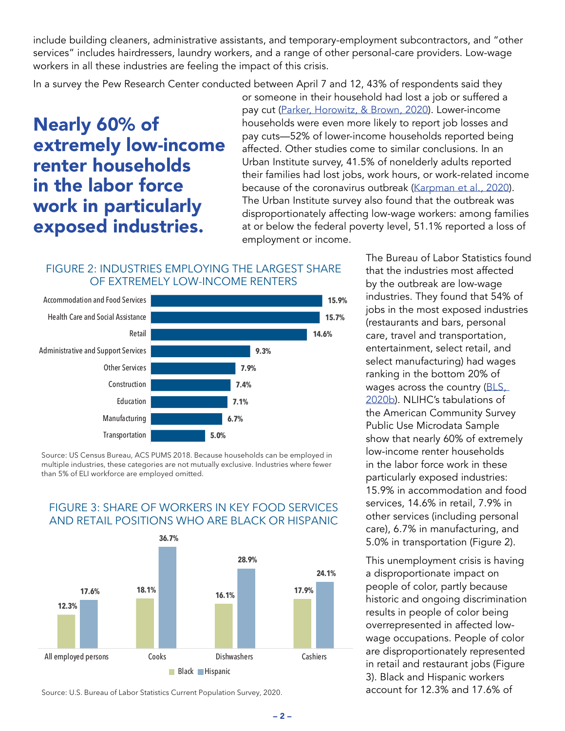include building cleaners, administrative assistants, and temporary-employment subcontractors, and "other services" includes hairdressers, laundry workers, and a range of other personal-care providers. Low-wage workers in all these industries are feeling the impact of this crisis.

In a survey the Pew Research Center conducted between April 7 and 12, 43% of respondents said they

Nearly 60% of extremely low-income renter households in the labor force work in particularly exposed industries.

or someone in their household had lost a job or suffered a pay cut ([Parker, Horowitz, & Brown, 2020](https://www.pewsocialtrends.org/2020/04/21/about-half-of-lower-income-americans-report-household-job-or-wage-loss-due-to-covid-19/)). Lower-income households were even more likely to report job losses and pay cuts—52% of lower-income households reported being affected. Other studies come to similar conclusions. In an Urban Institute survey, 41.5% of nonelderly adults reported their families had lost jobs, work hours, or work-related income because of the coronavirus outbreak ([Karpman et al., 2020](https://www.urban.org/research/publication/covid-19-pandemic-straining-families-abilities-afford-basic-needs)). The Urban Institute survey also found that the outbreak was disproportionately affecting low-wage workers: among families at or below the federal poverty level, 51.1% reported a loss of employment or income.

#### FIGURE 2: INDUSTRIES EMPLOYING THE LARGEST SHARE OF EXTREMELY LOW-INCOME RENTERS



Source: US Census Bureau, ACS PUMS 2018. Because households can be employed in multiple industries, these categories are not mutually exclusive. Industries where fewer than 5% of ELI workforce are employed omitted.



#### FIGURE 3: SHARE OF WORKERS IN KEY FOOD SERVICES AND RETAIL POSITIONS WHO ARE BLACK OR HISPANIC

Source: U.S. Bureau of Labor Statistics Current Population Survey, 2020.

The Bureau of Labor Statistics found that the industries most affected by the outbreak are low-wage industries. They found that 54% of jobs in the most exposed industries (restaurants and bars, personal care, travel and transportation, entertainment, select retail, and select manufacturing) had wages ranking in the bottom 20% of wages across the country (BLS, [2020b](https://www.bls.gov/opub/mlr/2020/article/covid-19-shutdowns.htm)). NLIHC's tabulations of the American Community Survey Public Use Microdata Sample show that nearly 60% of extremely low-income renter households in the labor force work in these particularly exposed industries: 15.9% in accommodation and food services, 14.6% in retail, 7.9% in other services (including personal care), 6.7% in manufacturing, and 5.0% in transportation (Figure 2).

This unemployment crisis is having a disproportionate impact on people of color, partly because historic and ongoing discrimination results in people of color being overrepresented in affected lowwage occupations. People of color are disproportionately represented in retail and restaurant jobs (Figure 3). Black and Hispanic workers account for 12.3% and 17.6% of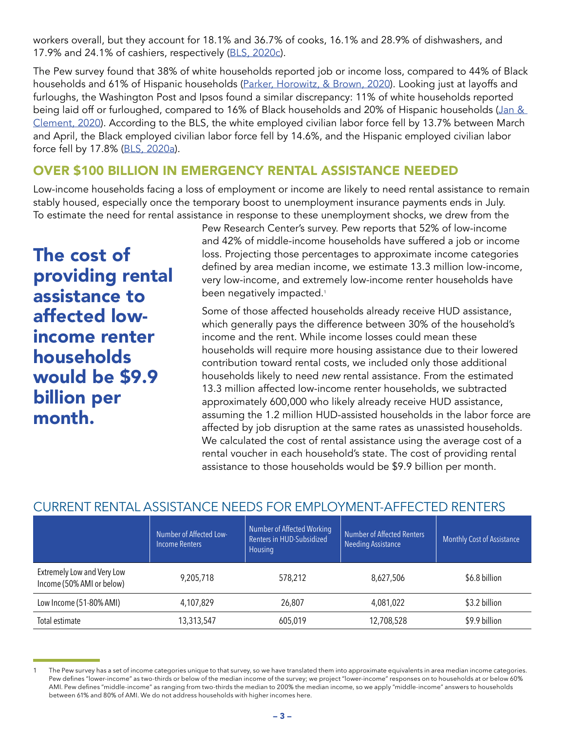workers overall, but they account for 18.1% and 36.7% of cooks, 16.1% and 28.9% of dishwashers, and 17.9% and 24.1% of cashiers, respectively ([BLS, 2020c](https://www.bls.gov/cps/cpsaat11.htm)).

The Pew survey found that 38% of white households reported job or income loss, compared to 44% of Black households and 61% of Hispanic households ([Parker, Horowitz, & Brown, 2020\)](https://www.pewsocialtrends.org/2020/04/21/about-half-of-lower-income-americans-report-household-job-or-wage-loss-due-to-covid-19/). Looking just at layoffs and furloughs, the Washington Post and Ipsos found a similar discrepancy: 11% of white households reported being laid off or furloughed, compared to 16% of Black households and 20% of Hispanic households (Jan & [Clement, 2020](https://www.washingtonpost.com/business/2020/05/06/layoffs-race-poll-coronavirus/)). According to the BLS, the white employed civilian labor force fell by 13.7% between March and April, the Black employed civilian labor force fell by 14.6%, and the Hispanic employed civilian labor force fell by 17.8% ([BLS, 2020a](https://www.bls.gov/news.release/empsit.nr0.htm)).

## OVER \$100 BILLION IN EMERGENCY RENTAL ASSISTANCE NEEDED

Low-income households facing a loss of employment or income are likely to need rental assistance to remain stably housed, especially once the temporary boost to unemployment insurance payments ends in July. To estimate the need for rental assistance in response to these unemployment shocks, we drew from the

The cost of providing rental assistance to affected lowincome renter households would be \$9.9 billion per month.

Pew Research Center's survey. Pew reports that 52% of low-income and 42% of middle-income households have suffered a job or income loss. Projecting those percentages to approximate income categories defined by area median income, we estimate 13.3 million low-income, very low-income, and extremely low-income renter households have been negatively impacted.<sup>1</sup>

Some of those affected households already receive HUD assistance, which generally pays the difference between 30% of the household's income and the rent. While income losses could mean these households will require more housing assistance due to their lowered contribution toward rental costs, we included only those additional households likely to need *new* rental assistance. From the estimated 13.3 million affected low-income renter households, we subtracted approximately 600,000 who likely already receive HUD assistance, assuming the 1.2 million HUD-assisted households in the labor force are affected by job disruption at the same rates as unassisted households. We calculated the cost of rental assistance using the average cost of a rental voucher in each household's state. The cost of providing rental assistance to those households would be \$9.9 billion per month.

### CURRENT RENTAL ASSISTANCE NEEDS FOR EMPLOYMENT-AFFECTED RENTERS

|                                                                | Number of Affected Low-<br><b>Income Renters</b> | Number of Affected Working<br>Renters in HUD-Subsidized<br>Housing | Number of Affected Renters<br><b>Needing Assistance</b> | <b>Monthly Cost of Assistance</b> |
|----------------------------------------------------------------|--------------------------------------------------|--------------------------------------------------------------------|---------------------------------------------------------|-----------------------------------|
| <b>Extremely Low and Very Low</b><br>Income (50% AMI or below) | 9,205,718                                        | 578,212                                                            | 8,627,506                                               | \$6.8 billion                     |
| Low Income (51-80% AMI)                                        | 4,107,829                                        | 26,807                                                             | 4.081.022                                               | \$3.2 billion                     |
| Total estimate                                                 | 13,313,547                                       | 605,019                                                            | 12,708,528                                              | \$9.9 billion                     |

The Pew survey has a set of income categories unique to that survey, so we have translated them into approximate equivalents in area median income categories. Pew defines "lower-income" as two-thirds or below of the median income of the survey; we project "lower-income" responses on to households at or below 60% AMI. Pew defines "middle-income" as ranging from two-thirds the median to 200% the median income, so we apply "middle-income" answers to households between 61% and 80% of AMI. We do not address households with higher incomes here.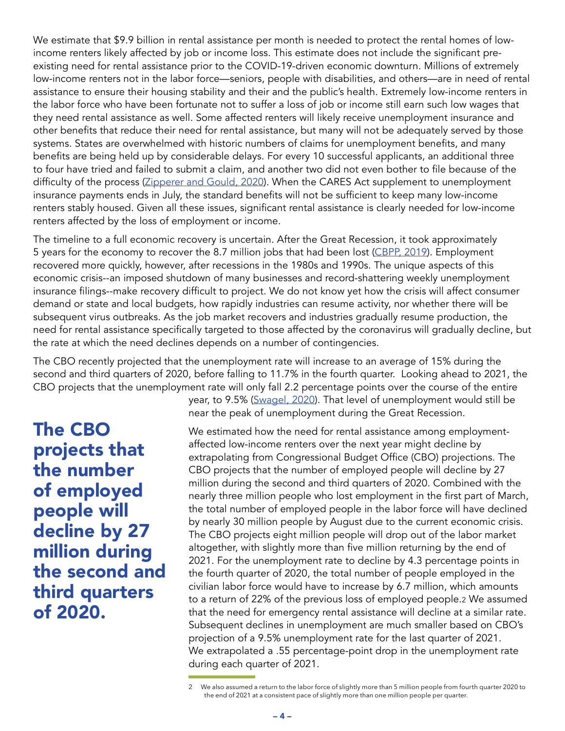We estimate that \$9.9 billion in rental assistance per month is needed to protect the rental homes of lowincome renters likely affected by job or income loss. This estimate does not include the significant preexisting need for rental assistance prior to the COVID-19-driven economic downturn. Millions of extremely low-income renters not in the labor force—seniors, people with disabilities, and others—are in need of rental assistance to ensure their housing stability and their and the public's health. Extremely low-income renters in the labor force who have been fortunate not to suffer a loss of job or income still earn such low wages that they need rental assistance as well. Some affected renters will likely receive unemployment insurance and other benefits that reduce their need for rental assistance, but many will not be adequately served by those systems. States are overwhelmed with historic numbers of claims for unemployment benefits, and many benefits are being held up by considerable delays. For every 10 successful applicants, an additional three to four have tried and failed to submit a claim, and another two did not even bother to file because of the difficulty of the process ([Zipperer and Gould, 2020](https://www.epi.org/blog/unemployment-filing-failures-new-survey-confirms-that-millions-of-jobless-were-unable-to-file-an-unemployment-insurance-claim/)). When the CARES Act supplement to unemployment insurance payments ends in July, the standard benefits will not be sufficient to keep many low-income renters stably housed. Given all these issues, significant rental assistance is clearly needed for low-income renters affected by the loss of employment or income.

The timeline to a full economic recovery is uncertain. After the Great Recession, it took approximately 5 years for the economy to recover the 8.7 million jobs that had been lost [\(CBPP, 2019](https://www.cbpp.org/research/economy/chart-book-the-legacy-of-the-great-recession)). Employment recovered more quickly, however, after recessions in the 1980s and 1990s. The unique aspects of this economic crisis--an imposed shutdown of many businesses and record-shattering weekly unemployment insurance filings--make recovery difficult to project. We do not know yet how the crisis will affect consumer demand or state and local budgets, how rapidly industries can resume activity, nor whether there will be subsequent virus outbreaks. As the job market recovers and industries gradually resume production, the need for rental assistance specifically targeted to those affected by the coronavirus will gradually decline, but the rate at which the need declines depends on a number of contingencies.

The CBO recently projected that the unemployment rate will increase to an average of 15% during the second and third quarters of 2020, before falling to 11.7% in the fourth quarter. Looking ahead to 2021, the CBO projects that the unemployment rate will only fall 2.2 percentage points over the course of the entire

The CBO projects that the number of employed people will decline by 27 million during the second and third quarters of 2020.

year, to 9.5% ([Swagel, 2020](https://www.cbo.gov/publication/56335)). That level of unemployment would still be near the peak of unemployment during the Great Recession.

We estimated how the need for rental assistance among employmentaffected low-income renters over the next year might decline by extrapolating from Congressional Budget Office (CBO) projections. The CBO projects that the number of employed people will decline by 27 million during the second and third quarters of 2020. Combined with the nearly three million people who lost employment in the first part of March, the total number of employed people in the labor force will have declined by nearly 30 million people by August due to the current economic crisis. The CBO projects eight million people will drop out of the labor market altogether, with slightly more than five million returning by the end of 2021. For the unemployment rate to decline by 4.3 percentage points in the fourth quarter of 2020, the total number of people employed in the civilian labor force would have to increase by 6.7 million, which amounts to a return of 22% of the previous loss of employed people.2 We assumed that the need for emergency rental assistance will decline at a similar rate. Subsequent declines in unemployment are much smaller based on CBO's projection of a 9.5% unemployment rate for the last quarter of 2021. We extrapolated a .55 percentage-point drop in the unemployment rate during each quarter of 2021.

<sup>2</sup> We also assumed a return to the labor force of slightly more than 5 million people from fourth quarter 2020 to the end of 2021 at a consistent pace of slightly more than one million people per quarter.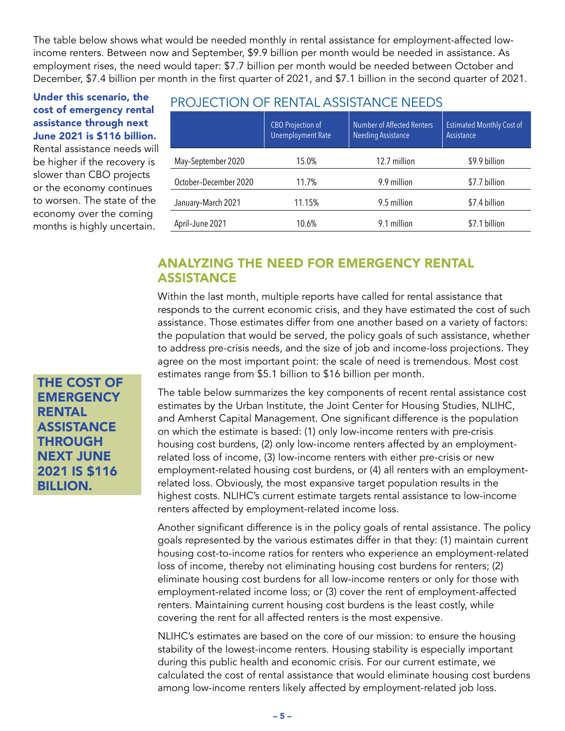The table below shows what would be needed monthly in rental assistance for employment-affected lowincome renters. Between now and September, \$9.9 billion per month would be needed in assistance. As employment rises, the need would taper: \$7.7 billion per month would be needed between October and December, \$7.4 billion per month in the first quarter of 2021, and \$7.1 billion in the second quarter of 2021.

#### Under this scenario, the cost of emergency rental assistance through next June 2021 is \$116 billion.

Rental assistance needs will be higher if the recovery is slower than CBO projects or the economy continues to worsen. The state of the economy over the coming months is highly uncertain.

#### PROJECTION OF RENTAL ASSISTANCE NEEDS

|                       | <b>CBO Projection of</b><br><b>Unemployment Rate</b> | <b>Number of Affected Renters</b><br><b>Needing Assistance</b> | <b>Estimated Monthly Cost of</b><br>Assistance |
|-----------------------|------------------------------------------------------|----------------------------------------------------------------|------------------------------------------------|
| May-September 2020    | 15.0%                                                | 12.7 million                                                   | \$9.9 billion                                  |
| October-December 2020 | 11.7%                                                | 9.9 million                                                    | \$7.7 billion                                  |
| January-March 2021    | 11.15%                                               | 9.5 million                                                    | \$7.4 billion                                  |
| April-June 2021       | 10.6%                                                | 9.1 million                                                    | \$7.1 billion                                  |

#### ANALYZING THE NEED FOR EMERGENCY RENTAL **ASSISTANCE**

Within the last month, multiple reports have called for rental assistance that responds to the current economic crisis, and they have estimated the cost of such assistance. Those estimates differ from one another based on a variety of factors: the population that would be served, the policy goals of such assistance, whether to address pre-crisis needs, and the size of job and income-loss projections. They agree on the most important point: the scale of need is tremendous. Most cost estimates range from \$5.1 billion to \$16 billion per month.

The table below summarizes the key components of recent rental assistance cost estimates by the Urban Institute, the Joint Center for Housing Studies, NLIHC, and Amherst Capital Management. One significant difference is the population on which the estimate is based: (1) only low-income renters with pre-crisis housing cost burdens, (2) only low-income renters affected by an employmentrelated loss of income, (3) low-income renters with either pre-crisis or new employment-related housing cost burdens, or (4) all renters with an employmentrelated loss. Obviously, the most expansive target population results in the highest costs. NLIHC's current estimate targets rental assistance to low-income renters affected by employment-related income loss.

Another significant difference is in the policy goals of rental assistance. The policy goals represented by the various estimates differ in that they: (1) maintain current housing cost-to-income ratios for renters who experience an employment-related loss of income, thereby not eliminating housing cost burdens for renters; (2) eliminate housing cost burdens for all low-income renters or only for those with employment-related income loss; or (3) cover the rent of employment-affected renters. Maintaining current housing cost burdens is the least costly, while covering the rent for all affected renters is the most expensive.

NLIHC's estimates are based on the core of our mission: to ensure the housing stability of the lowest-income renters. Housing stability is especially important during this public health and economic crisis. For our current estimate, we calculated the cost of rental assistance that would eliminate housing cost burdens among low-income renters likely affected by employment-related job loss.

THE COST OF **EMERGENCY** RENTAL **ASSISTANCE THROUGH** NEXT JUNE 2021 IS \$116 BILLION.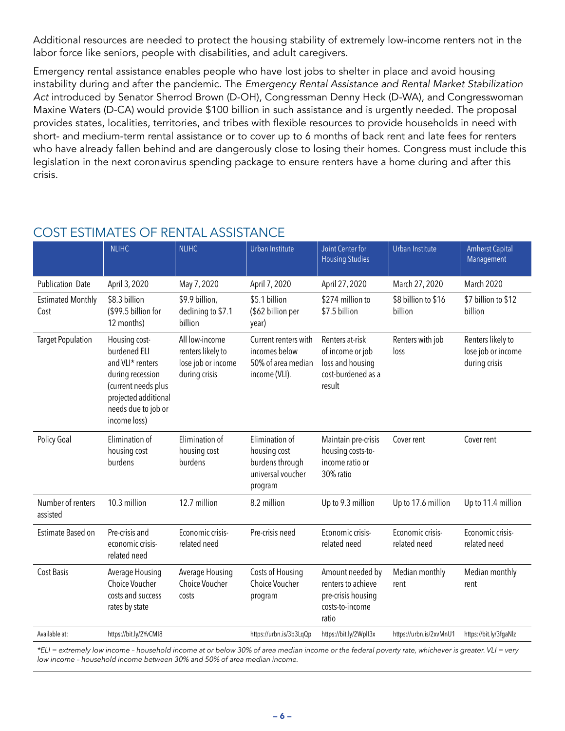Additional resources are needed to protect the housing stability of extremely low-income renters not in the labor force like seniors, people with disabilities, and adult caregivers.

Emergency rental assistance enables people who have lost jobs to shelter in place and avoid housing instability during and after the pandemic. The *Emergency Rental Assistance and Rental Market Stabilization Act* introduced by Senator Sherrod Brown (D-OH), Congressman Denny Heck (D-WA), and Congresswoman Maxine Waters (D-CA) would provide \$100 billion in such assistance and is urgently needed. The proposal provides states, localities, territories, and tribes with flexible resources to provide households in need with short- and medium-term rental assistance or to cover up to 6 months of back rent and late fees for renters who have already fallen behind and are dangerously close to losing their homes. Congress must include this legislation in the next coronavirus spending package to ensure renters have a home during and after this crisis.

|                                  | <b>NLIHC</b>                                                                                                                                                | <b>NLIHC</b>                                                               | Urban Institute                                                                   | <b>Joint Center for</b><br><b>Housing Studies</b>                                        | Urban Institute                  | <b>Amherst Capital</b><br>Management                     |
|----------------------------------|-------------------------------------------------------------------------------------------------------------------------------------------------------------|----------------------------------------------------------------------------|-----------------------------------------------------------------------------------|------------------------------------------------------------------------------------------|----------------------------------|----------------------------------------------------------|
| <b>Publication Date</b>          | April 3, 2020                                                                                                                                               | May 7, 2020                                                                | April 7, 2020                                                                     | April 27, 2020                                                                           | March 27, 2020                   | March 2020                                               |
| <b>Estimated Monthly</b><br>Cost | \$8.3 billion<br>(\$99.5 billion for<br>12 months)                                                                                                          | \$9.9 billion,<br>declining to \$7.1<br>billion                            | \$5.1 billion<br>(\$62 billion per<br>year)                                       | \$274 million to<br>\$7.5 billion                                                        | \$8 billion to \$16<br>billion   | \$7 billion to \$12<br>billion                           |
| <b>Target Population</b>         | Housing cost-<br>burdened ELI<br>and VLI* renters<br>during recession<br>(current needs plus<br>projected additional<br>needs due to job or<br>income loss) | All low-income<br>renters likely to<br>lose job or income<br>during crisis | Current renters with<br>incomes below<br>50% of area median<br>income (VLI).      | Renters at-risk<br>of income or job<br>loss and housing<br>cost-burdened as a<br>result  | Renters with job<br>loss         | Renters likely to<br>lose job or income<br>during crisis |
| Policy Goal                      | Elimination of<br>housing cost<br>burdens                                                                                                                   | Elimination of<br>housing cost<br>burdens                                  | Elimination of<br>housing cost<br>burdens through<br>universal voucher<br>program | Maintain pre-crisis<br>housing costs-to-<br>income ratio or<br>30% ratio                 | Cover rent                       | Cover rent                                               |
| Number of renters<br>assisted    | 10.3 million                                                                                                                                                | 12.7 million                                                               | 8.2 million                                                                       | Up to 9.3 million                                                                        | Up to 17.6 million               | Up to 11.4 million                                       |
| Estimate Based on                | Pre-crisis and<br>economic crisis-<br>related need                                                                                                          | Economic crisis-<br>related need                                           | Pre-crisis need                                                                   | Economic crisis-<br>related need                                                         | Economic crisis-<br>related need | Economic crisis-<br>related need                         |
| <b>Cost Basis</b>                | Average Housing<br>Choice Voucher<br>costs and success<br>rates by state                                                                                    | Average Housing<br>Choice Voucher<br>costs                                 | Costs of Housing<br><b>Choice Voucher</b><br>program                              | Amount needed by<br>renters to achieve<br>pre-crisis housing<br>costs-to-income<br>ratio | Median monthly<br>rent           | Median monthly<br>rent                                   |
| Available at:                    | https://bit.ly/2YvCMI8                                                                                                                                      |                                                                            | https://urbn.is/3b3LqQp                                                           | https://bit.ly/2WplI3x                                                                   | https://urbn.is/2xvMnU1          | https://bit.ly/3fgaNlz                                   |

## COST ESTIMATES OF RENTAL ASSISTANCE

*\*ELI = extremely low income – household income at or below 30% of area median income or the federal poverty rate, whichever is greater. VLI = very low income – household income between 30% and 50% of area median income.*